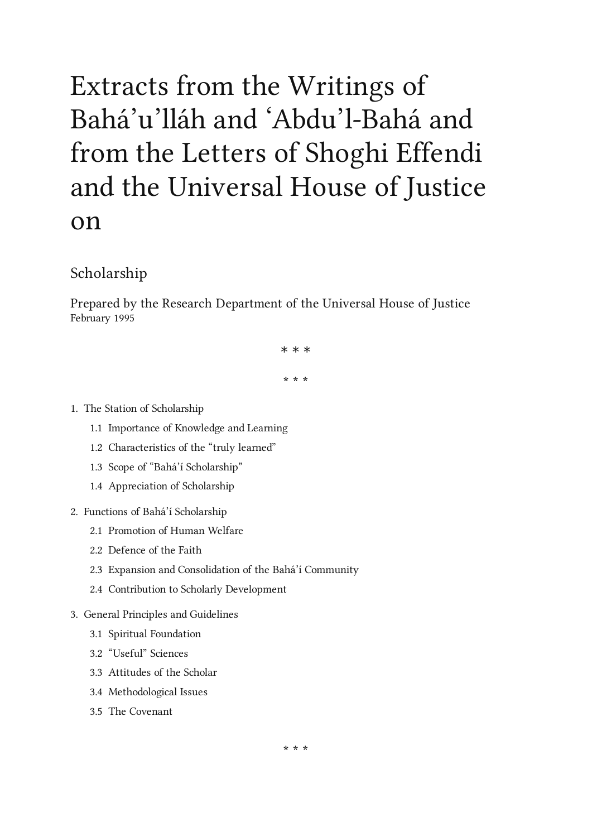# Extracts from the Writings of Bahá' u 'lláh and 'Abdu 'l-Bahá and from the Letters of Shoghi Effendi and the Universal House of Justice on

# Scholarship

Prepared by the Research Department of the Universal House of Justice February 1995

\* \* \*

\* \* \*

# 1. The Station of [Scholarship](#page-1-0)

- 1.1 [Importance](#page-1-1) of Knowledge and Learning
- 1.2 [Characteristics](#page-2-0) of the "truly learned"
- 1.3 Scope of "Bahá'í [Scholarship"](#page-4-0)
- 1.4 [Appreciation](#page-4-1) of Scholarship
- 2. Functions of Bahá'í [Scholarship](#page-6-0)
	- 2.1 [Promotion](#page-6-1) of Human Welfare
	- 2.2 [Defence](#page-8-0) of the Faith
	- 2.3 Expansion and [Consolidation](#page-8-1) of the Bahá'í Community
	- 2.4 Contribution to Scholarly [Development](#page-9-0)
- 3. General Principles and [Guidelines](#page-11-0)
	- 3.1 Spiritual [Foundation](#page-11-1)
	- 3.2 ["Useful"](#page-14-0) Sciences
	- 3.3 [Attitudes](#page-16-0) of the Scholar
	- 3.4 [Methodological](#page-18-0) Issues
	- 3.5 The [Covenant](#page-21-0)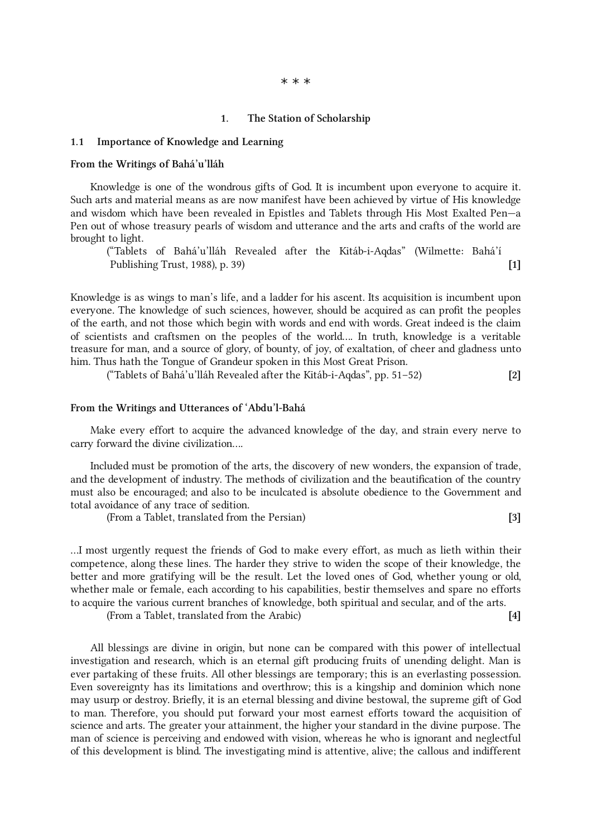#### \* \* \*

#### <span id="page-1-0"></span>1. The Station of Scholarship

#### <span id="page-1-1"></span>1.1 Importance of Knowledge and Learning

#### From the Writings of Bahá'u'lláh

Knowledge is one of the wondrous gifts of God. It is incumbent upon everyone to acquire it. Such arts and material means as are now manifest have been achieved by virtue of His knowledge and wisdom which have been revealed in Epistles and Tablets through His Most Exalted Pen—a Pen out of whose treasury pearls of wisdom and utterance and the arts and crafts of the world are brought to light.

("Tablets of Bahá'u'lláh Revealed after the Kitáb-i-Aqdas" (Wilmette: Bahá'í Publishing Trust, 1988), p. 39) [1]

Knowledge is as wings to man's life, and a ladder for his ascent. Its acquisition is incumbent upon everyone. The knowledge of such sciences, however, should be acquired as can profit the peoples of the earth, and not those which begin with words and end with words. Great indeed is the claim of scientists and craftsmen on the peoples of the world…. In truth, knowledge is a veritable treasure for man, and a source of glory, of bounty, of joy, of exaltation, of cheer and gladness unto him. Thus hath the Tongue of Grandeur spoken in this Most Great Prison.

("Tablets of Bahá'u'lláh Revealed after the Kitáb-i-Aqdas", pp. 51–52) [2]

#### From the Writings and Utterances of 'Abdu'l-Bahá

Make every effort to acquire the advanced knowledge of the day, and strain every nerve to carry forward the divine civilization….

Included must be promotion of the arts, the discovery of new wonders, the expansion of trade, and the development of industry. The methods of civilization and the beautification of the country must also be encouraged; and also to be inculcated is absolute obedience to the Government and total avoidance of any trace of sedition.

(From a Tablet, translated from the Persian) [3]

…I most urgently request the friends of God to make every effort, as much as lieth within their competence, along these lines. The harder they strive to widen the scope of their knowledge, the better and more gratifying will be the result. Let the loved ones of God, whether young or old, whether male or female, each according to his capabilities, bestir themselves and spare no efforts to acquire the various current branches of knowledge, both spiritual and secular, and of the arts.

(From a Tablet, translated from the Arabic) [4]

All blessings are divine in origin, but none can be compared with this power of intellectual investigation and research, which is an eternal gift producing fruits of unending delight. Man is ever partaking of these fruits. All other blessings are temporary; this is an everlasting possession. Even sovereignty has its limitations and overthrow; this is a kingship and dominion which none may usurp or destroy. Briefly, it is an eternal blessing and divine bestowal, the supreme gift of God to man. Therefore, you should put forward your most earnest efforts toward the acquisition of science and arts. The greater your attainment, the higher your standard in the divine purpose. The man of science is perceiving and endowed with vision, whereas he who is ignorant and neglectful of this development is blind. The investigating mind is attentive, alive; the callous and indifferent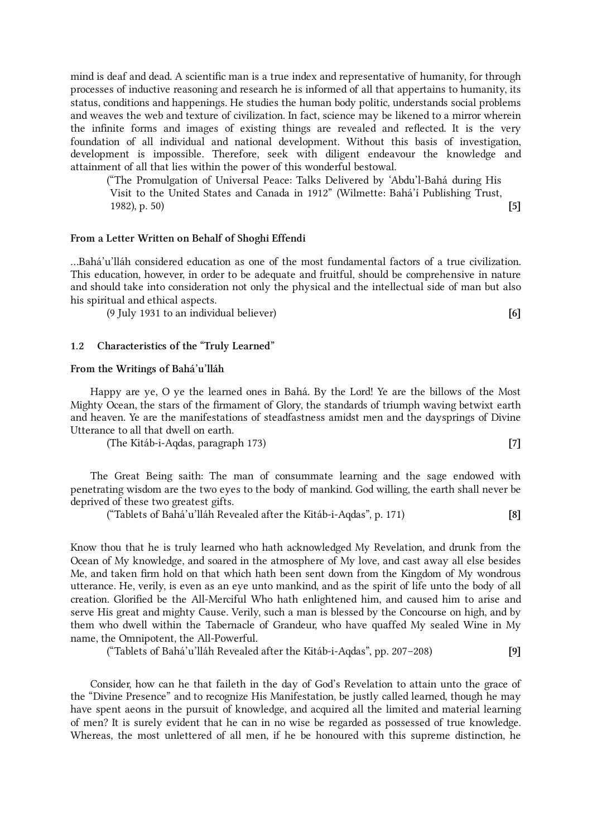mind is deaf and dead. A scientific man is a true index and representative of humanity, for through processes of inductive reasoning and research he is informed of all that appertains to humanity, its status, conditions and happenings. He studies the human body politic, understands social problems and weaves the web and texture of civilization. In fact, science may be likened to a mirror wherein the infinite forms and images of existing things are revealed and reflected. It is the very foundation of all individual and national development. Without this basis of investigation, development is impossible. Therefore, seek with diligent endeavour the knowledge and attainment of all that lies within the power of this wonderful bestowal.

("The Promulgation of Universal Peace: Talks Delivered by 'Abdu'l-Bahá during His Visit to the United States and Canada in 1912" (Wilmette: Bahá'í Publishing Trust, 1982), p. 50) [5]

#### From a Letter Written on Behalf of Shoghi Effendi

…Bahá'u'lláh considered education as one of the most fundamental factors of a true civilization. This education, however, in order to be adequate and fruitful, should be comprehensive in nature and should take into consideration not only the physical and the intellectual side of man but also his spiritual and ethical aspects.

(9 July 1931 to an individual believer) [6]

#### <span id="page-2-0"></span>1.2 Characteristics of the "Truly Learned"

#### From the Writings of Bahá'u'lláh

Happy are ye, O ye the learned ones in Bahá. By the Lord! Ye are the billows of the Most Mighty Ocean, the stars of the firmament of Glory, the standards of triumph waving betwixt earth and heaven. Ye are the manifestations of steadfastness amidst men and the daysprings of Divine Utterance to all that dwell on earth.

(The Kitáb-i-Aqdas, paragraph 173) [7]

The Great Being saith: The man of consummate learning and the sage endowed with penetrating wisdom are the two eyes to the body of mankind. God willing, the earth shall never be deprived of these two greatest gifts.

("Tablets of Bahá'u'lláh Revealed after the Kitáb-i-Aqdas", p. 171) [8]

Know thou that he is truly learned who hath acknowledged My Revelation, and drunk from the Ocean of My knowledge, and soared in the atmosphere of My love, and cast away all else besides Me, and taken firm hold on that which hath been sent down from the Kingdom of My wondrous utterance. He, verily, is even as an eye unto mankind, and as the spirit of life unto the body of all creation. Glorified be the All-Merciful Who hath enlightened him, and caused him to arise and serve His great and mighty Cause. Verily, such a man is blessed by the Concourse on high, and by them who dwell within the Tabernacle of Grandeur, who have quaffed My sealed Wine in My name, the Omnipotent, the All-Powerful.

("Tablets of Bahá'u'lláh Revealed after the Kitáb-i-Aqdas", pp. 207–208) [9]

Consider, how can he that faileth in the day of God's Revelation to attain unto the grace of the "Divine Presence" and to recognize His Manifestation, be justly called learned, though he may have spent aeons in the pursuit of knowledge, and acquired all the limited and material learning of men? It is surely evident that he can in no wise be regarded as possessed of true knowledge. Whereas, the most unlettered of all men, if he be honoured with this supreme distinction, he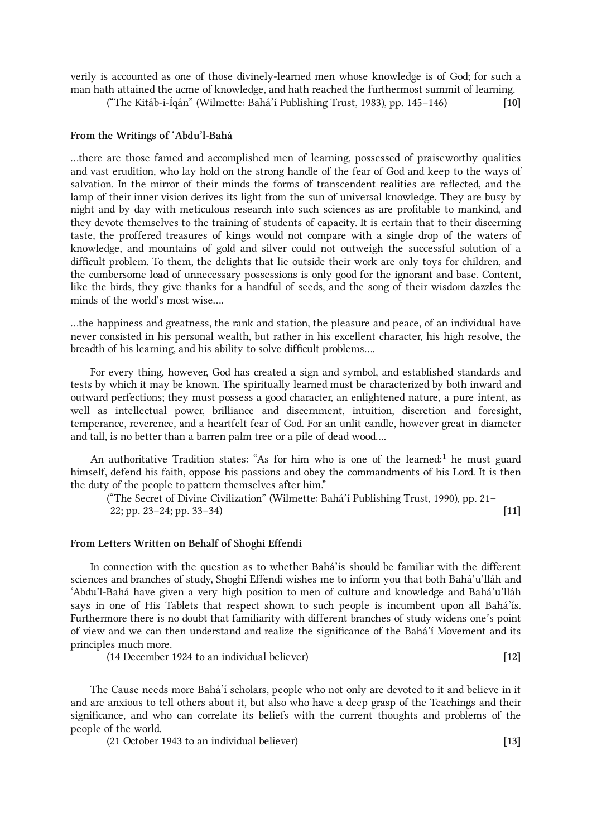verily is accounted as one of those divinely-learned men whose knowledge is of God; for such a man hath attained the acme of knowledge, and hath reached the furthermost summit of learning.

("The Kitáb-i-Íqán" (Wilmette: Bahá'í Publishing Trust, 1983), pp. 145–146) [10]

# From the Writings of 'Abdu'l-Bahá

…there are those famed and accomplished men of learning, possessed of praiseworthy qualities and vast erudition, who lay hold on the strong handle of the fear of God and keep to the ways of salvation. In the mirror of their minds the forms of transcendent realities are reflected, and the lamp of their inner vision derives its light from the sun of universal knowledge. They are busy by night and by day with meticulous research into such sciences as are profitable to mankind, and they devote themselves to the training of students of capacity. It is certain that to their discerning taste, the proffered treasures of kings would not compare with a single drop of the waters of knowledge, and mountains of gold and silver could not outweigh the successful solution of a difficult problem. To them, the delights that lie outside their work are only toys for children, and the cumbersome load of unnecessary possessions is only good for the ignorant and base. Content, like the birds, they give thanks for a handful of seeds, and the song of their wisdom dazzles the minds of the world's most wise….

…the happiness and greatness, the rank and station, the pleasure and peace, of an individual have never consisted in his personal wealth, but rather in his excellent character, his high resolve, the breadth of his learning, and his ability to solve difficult problems….

For every thing, however, God has created a sign and symbol, and established standards and tests by which it may be known. The spiritually learned must be characterized by both inward and outward perfections; they must possess a good character, an enlightened nature, a pure intent, as well as intellectual power, brilliance and discernment, intuition, discretion and foresight, temperance, reverence, and a heartfelt fear of God. For an unlit candle, however great in diameter and tall, is no better than a barren palm tree or a pile of dead wood….

<span id="page-3-0"></span>An authoritative Tradition states: "As for him who is one of the learned:<sup>[1](#page-23-0)</sup> he must guard himself, defend his faith, oppose his passions and obey the commandments of his Lord. It is then the duty of the people to pattern themselves after him."

("The Secret of Divine Civilization" (Wilmette: Bahá'í Publishing Trust, 1990), pp. 21– 22; pp. 23–24; pp. 33–34) [11]

#### From Letters Written on Behalf of Shoghi Effendi

In connection with the question as to whether Bahá'ís should be familiar with the different sciences and branches of study, Shoghi Effendi wishes me to inform you that both Bahá'u'lláh and 'Abdu'l-Bahá have given a very high position to men of culture and knowledge and Bahá'u'lláh says in one of His Tablets that respect shown to such people is incumbent upon all Bahá'ís. Furthermore there is no doubt that familiarity with different branches of study widens one's point of view and we can then understand and realize the significance of the Bahá'í Movement and its principles much more.

(14 December 1924 to an individual believer) [12]

The Cause needs more Bahá'í scholars, people who not only are devoted to it and believe in it and are anxious to tell others about it, but also who have a deep grasp of the Teachings and their significance, and who can correlate its beliefs with the current thoughts and problems of the people of the world.

(21 October 1943 to an individual believer) [13]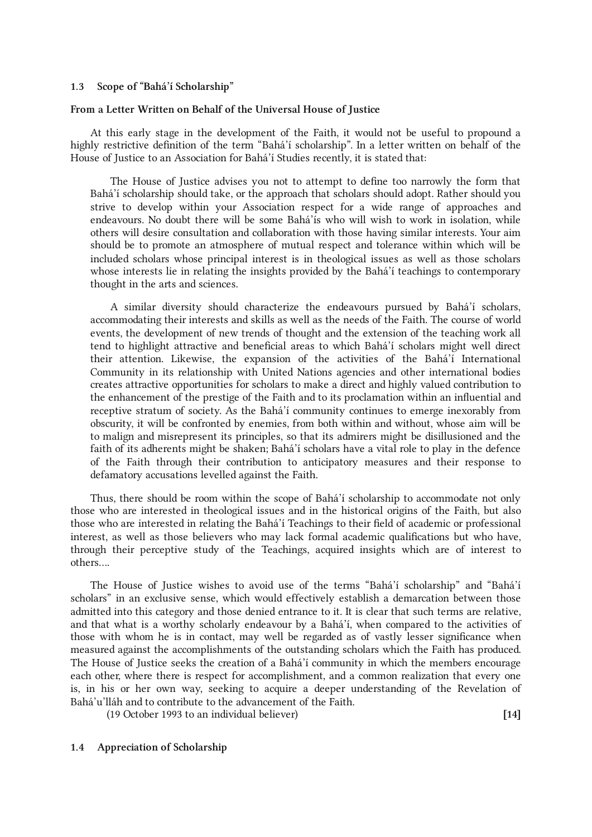#### <span id="page-4-0"></span>1.3 Scope of "Bahá'í Scholarship"

#### From a Letter Written on Behalf of the Universal House of Justice

At this early stage in the development of the Faith, it would not be useful to propound a highly restrictive definition of the term "Bahá'í scholarship". In a letter written on behalf of the House of Justice to an Association for Bahá'í Studies recently, it is stated that:

The House of Justice advises you not to attempt to define too narrowly the form that Bahá'í scholarship should take, or the approach that scholars should adopt. Rather should you strive to develop within your Association respect for a wide range of approaches and endeavours. No doubt there will be some Bahá'ís who will wish to work in isolation, while others will desire consultation and collaboration with those having similar interests. Your aim should be to promote an atmosphere of mutual respect and tolerance within which will be included scholars whose principal interest is in theological issues as well as those scholars whose interests lie in relating the insights provided by the Bahá'í teachings to contemporary thought in the arts and sciences.

A similar diversity should characterize the endeavours pursued by Bahá'í scholars, accommodating their interests and skills as well as the needs of the Faith. The course of world events, the development of new trends of thought and the extension of the teaching work all tend to highlight attractive and beneficial areas to which Bahá'í scholars might well direct their attention. Likewise, the expansion of the activities of the Bahá'í International Community in its relationship with United Nations agencies and other international bodies creates attractive opportunities for scholars to make a direct and highly valued contribution to the enhancement of the prestige of the Faith and to its proclamation within an influential and receptive stratum of society. As the Bahá'í community continues to emerge inexorably from obscurity, it will be confronted by enemies, from both within and without, whose aim will be to malign and misrepresent its principles, so that its admirers might be disillusioned and the faith of its adherents might be shaken; Bahá'í scholars have a vital role to play in the defence of the Faith through their contribution to anticipatory measures and their response to defamatory accusations levelled against the Faith.

Thus, there should be room within the scope of Bahá'í scholarship to accommodate not only those who are interested in theological issues and in the historical origins of the Faith, but also those who are interested in relating the Bahá'í Teachings to their field of academic or professional interest, as well as those believers who may lack formal academic qualifications but who have, through their perceptive study of the Teachings, acquired insights which are of interest to others….

The House of Justice wishes to avoid use of the terms "Bahá'í scholarship" and "Bahá'í scholars" in an exclusive sense, which would effectively establish a demarcation between those admitted into this category and those denied entrance to it. It is clear that such terms are relative, and that what is a worthy scholarly endeavour by a Bahá'í, when compared to the activities of those with whom he is in contact, may well be regarded as of vastly lesser significance when measured against the accomplishments of the outstanding scholars which the Faith has produced. The House of Justice seeks the creation of a Bahá'í community in which the members encourage each other, where there is respect for accomplishment, and a common realization that every one is, in his or her own way, seeking to acquire a deeper understanding of the Revelation of Bahá'u'lláh and to contribute to the advancement of the Faith.

(19 October 1993 to an individual believer) [14]

#### <span id="page-4-1"></span>1.4 Appreciation of Scholarship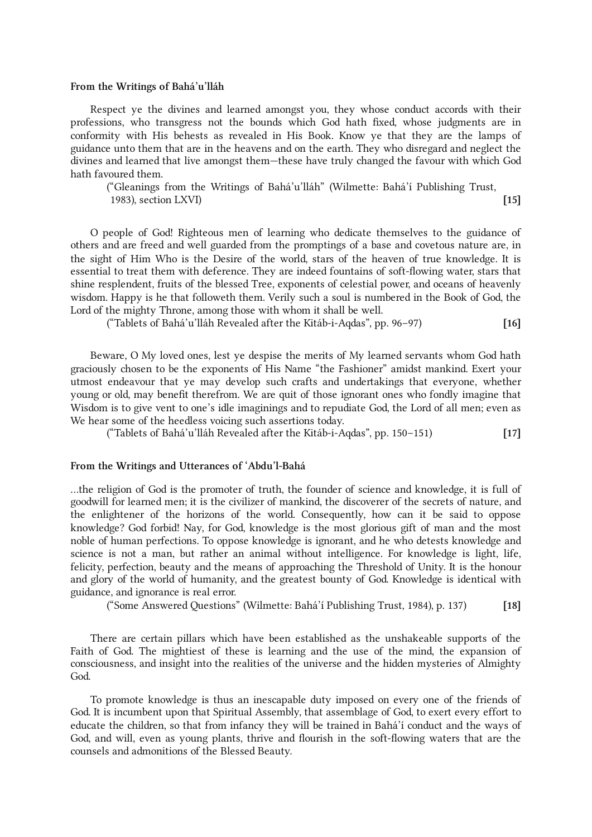#### From the Writings of Bahá'u'lláh

Respect ye the divines and learned amongst you, they whose conduct accords with their professions, who transgress not the bounds which God hath fixed, whose judgments are in conformity with His behests as revealed in His Book. Know ye that they are the lamps of guidance unto them that are in the heavens and on the earth. They who disregard and neglect the divines and learned that live amongst them—these have truly changed the favour with which God hath favoured them.

("Gleanings from the Writings of Bahá'u'lláh" (Wilmette: Bahá'í Publishing Trust, 1983), section LXVI) [15]

O people of God! Righteous men of learning who dedicate themselves to the guidance of others and are freed and well guarded from the promptings of a base and covetous nature are, in the sight of Him Who is the Desire of the world, stars of the heaven of true knowledge. It is essential to treat them with deference. They are indeed fountains of soft-flowing water, stars that shine resplendent, fruits of the blessed Tree, exponents of celestial power, and oceans of heavenly wisdom. Happy is he that followeth them. Verily such a soul is numbered in the Book of God, the Lord of the mighty Throne, among those with whom it shall be well.

("Tablets of Bahá'u'lláh Revealed after the Kitáb-i-Aqdas", pp. 96–97) [16]

Beware, O My loved ones, lest ye despise the merits of My learned servants whom God hath graciously chosen to be the exponents of His Name "the Fashioner" amidst mankind. Exert your utmost endeavour that ye may develop such crafts and undertakings that everyone, whether young or old, may benefit therefrom. We are quit of those ignorant ones who fondly imagine that Wisdom is to give vent to one's idle imaginings and to repudiate God, the Lord of all men; even as We hear some of the heedless voicing such assertions today.

("Tablets of Bahá'u'lláh Revealed after the Kitáb-i-Aqdas", pp. 150–151) [17]

#### From the Writings and Utterances of 'Abdu'l-Bahá

…the religion of God is the promoter of truth, the founder of science and knowledge, it is full of goodwill for learned men; it is the civilizer of mankind, the discoverer of the secrets of nature, and the enlightener of the horizons of the world. Consequently, how can it be said to oppose knowledge? God forbid! Nay, for God, knowledge is the most glorious gift of man and the most noble of human perfections. To oppose knowledge is ignorant, and he who detests knowledge and science is not a man, but rather an animal without intelligence. For knowledge is light, life, felicity, perfection, beauty and the means of approaching the Threshold of Unity. It is the honour and glory of the world of humanity, and the greatest bounty of God. Knowledge is identical with guidance, and ignorance is real error.

("Some Answered Questions" (Wilmette: Bahá'í Publishing Trust, 1984), p. 137) [18]

There are certain pillars which have been established as the unshakeable supports of the Faith of God. The mightiest of these is learning and the use of the mind, the expansion of consciousness, and insight into the realities of the universe and the hidden mysteries of Almighty God.

To promote knowledge is thus an inescapable duty imposed on every one of the friends of God. It is incumbent upon that Spiritual Assembly, that assemblage of God, to exert every effort to educate the children, so that from infancy they will be trained in Bahá'í conduct and the ways of God, and will, even as young plants, thrive and flourish in the soft-flowing waters that are the counsels and admonitions of the Blessed Beauty.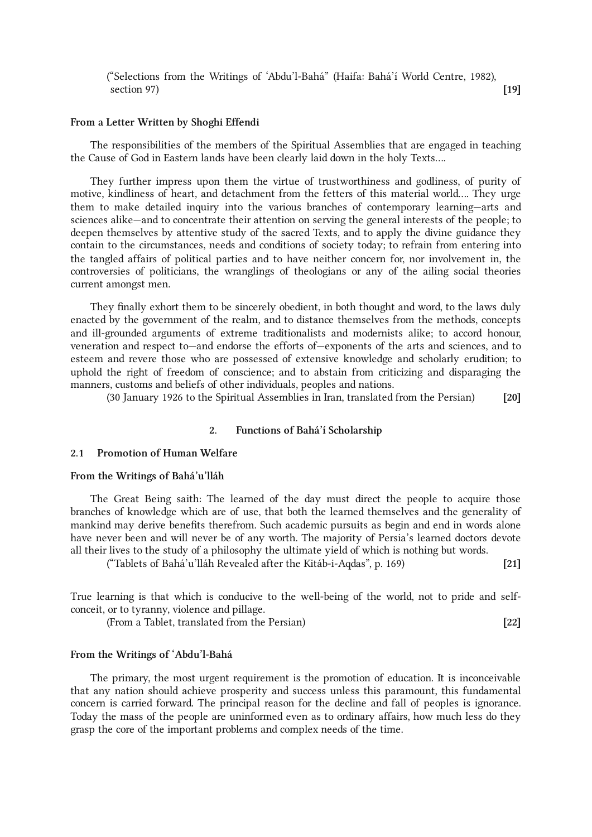#### ("Selections from the Writings of 'Abdu'l-Bahá" (Haifa: Bahá'í World Centre, 1982), section 97)  $\left[19\right]$

#### From a Letter Written by Shoghi Effendi

The responsibilities of the members of the Spiritual Assemblies that are engaged in teaching the Cause of God in Eastern lands have been clearly laid down in the holy Texts….

They further impress upon them the virtue of trustworthiness and godliness, of purity of motive, kindliness of heart, and detachment from the fetters of this material world…. They urge them to make detailed inquiry into the various branches of contemporary learning—arts and sciences alike—and to concentrate their attention on serving the general interests of the people; to deepen themselves by attentive study of the sacred Texts, and to apply the divine guidance they contain to the circumstances, needs and conditions of society today; to refrain from entering into the tangled affairs of political parties and to have neither concern for, nor involvement in, the controversies of politicians, the wranglings of theologians or any of the ailing social theories current amongst men.

They finally exhort them to be sincerely obedient, in both thought and word, to the laws duly enacted by the government of the realm, and to distance themselves from the methods, concepts and ill-grounded arguments of extreme traditionalists and modernists alike; to accord honour, veneration and respect to—and endorse the efforts of—exponents of the arts and sciences, and to esteem and revere those who are possessed of extensive knowledge and scholarly erudition; to uphold the right of freedom of conscience; and to abstain from criticizing and disparaging the manners, customs and beliefs of other individuals, peoples and nations.

(30 January 1926 to the Spiritual Assemblies in Iran, translated from the Persian) [20]

#### <span id="page-6-0"></span>2. Functions of Bahá'í Scholarship

#### <span id="page-6-1"></span>2.1 Promotion of Human Welfare

#### From the Writings of Bahá'u'lláh

The Great Being saith: The learned of the day must direct the people to acquire those branches of knowledge which are of use, that both the learned themselves and the generality of mankind may derive benefits therefrom. Such academic pursuits as begin and end in words alone have never been and will never be of any worth. The majority of Persia's learned doctors devote all their lives to the study of a philosophy the ultimate yield of which is nothing but words.

("Tablets of Bahá'u'lláh Revealed after the Kitáb-i-Aqdas", p. 169) [21]

True learning is that which is conducive to the well-being of the world, not to pride and selfconceit, or to tyranny, violence and pillage.

(From a Tablet, translated from the Persian) [22]

#### From the Writings of 'Abdu'l-Bahá

The primary, the most urgent requirement is the promotion of education. It is inconceivable that any nation should achieve prosperity and success unless this paramount, this fundamental concern is carried forward. The principal reason for the decline and fall of peoples is ignorance. Today the mass of the people are uninformed even as to ordinary affairs, how much less do they grasp the core of the important problems and complex needs of the time.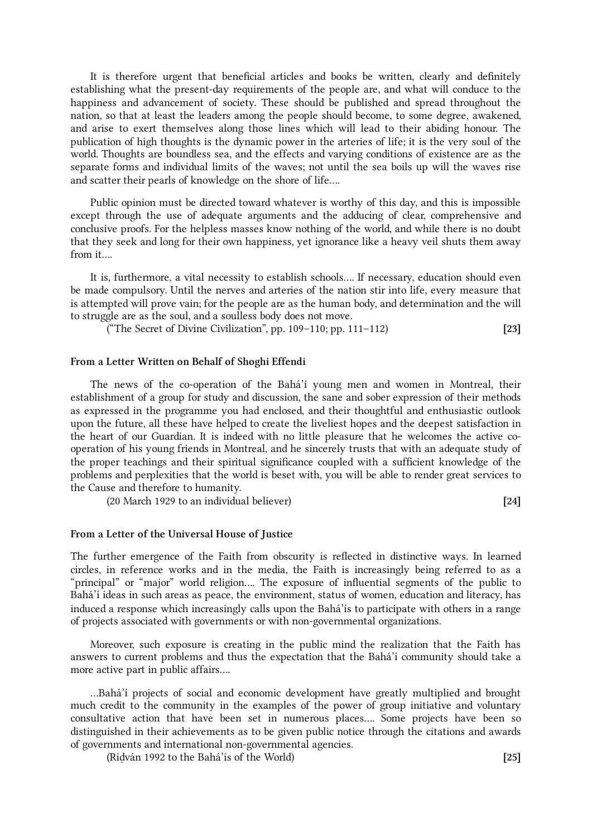It is therefore urgent that beneficial articles and books be written, clearly and definitely establishing what the present-day requirements of the people are, and what will conduce to the happiness and advancement of society. These should be published and spread throughout the nation, so that at least the leaders among the people should become, to some degree, awakened, and arise to exert themselves along those lines which will lead to their abiding honour. The publication of high thoughts is the dynamic power in the arteries of life; it is the very soul of the world. Thoughts are boundless sea, and the effects and varying conditions of existence are as the separate forms and individual limits of the waves; not until the sea boils up will the waves rise and scatter their pearls of knowledge on the shore of life….

Public opinion must be directed toward whatever is worthy of this day, and this is impossible except through the use of adequate arguments and the adducing of clear, comprehensive and conclusive proofs. For the helpless masses know nothing of the world, and while there is no doubt that they seek and long for their own happiness, yet ignorance like a heavy veil shuts them away from it….

It is, furthermore, a vital necessity to establish schools…. If necessary, education should even be made compulsory. Until the nerves and arteries of the nation stir into life, every measure that is attempted will prove vain; for the people are as the human body, and determination and the will to struggle are as the soul, and a soulless body does not move.

("The Secret of Divine Civilization", pp.  $109-110$ ; pp.  $111-112$ ) [23]

#### From a Letter Written on Behalf of Shoghi Effendi

The news of the co-operation of the Bahá'í young men and women in Montreal, their establishment of a group for study and discussion, the sane and sober expression of their methods as expressed in the programme you had enclosed, and their thoughtful and enthusiastic outlook upon the future, all these have helped to create the liveliest hopes and the deepest satisfaction in the heart of our Guardian. It is indeed with no little pleasure that he welcomes the active cooperation of his young friends in Montreal, and he sincerely trusts that with an adequate study of the proper teachings and their spiritual significance coupled with a sufficient knowledge of the problems and perplexities that the world is beset with, you will be able to render great services to the Cause and therefore to humanity.

(20 March 1929 to an individual believer) [24]

#### From a Letter of the Universal House of Justice

The further emergence of the Faith from obscurity is reflected in distinctive ways. In learned circles, in reference works and in the media, the Faith is increasingly being referred to as a "principal" or "major" world religion…. The exposure of influential segments of the public to Bahá'í ideas in such areas as peace, the environment, status of women, education and literacy, has induced a response which increasingly calls upon the Bahá'ís to participate with others in a range of projects associated with governments or with non-governmental organizations.

Moreover, such exposure is creating in the public mind the realization that the Faith has answers to current problems and thus the expectation that the Bahá'í community should take a more active part in public affairs….

…Bahá'í projects of social and economic development have greatly multiplied and brought much credit to the community in the examples of the power of group initiative and voluntary consultative action that have been set in numerous places…. Some projects have been so distinguished in their achievements as to be given public notice through the citations and awards of governments and international non-governmental agencies.

(Riḍván 1992 to the Bahá'ís of the World) [25]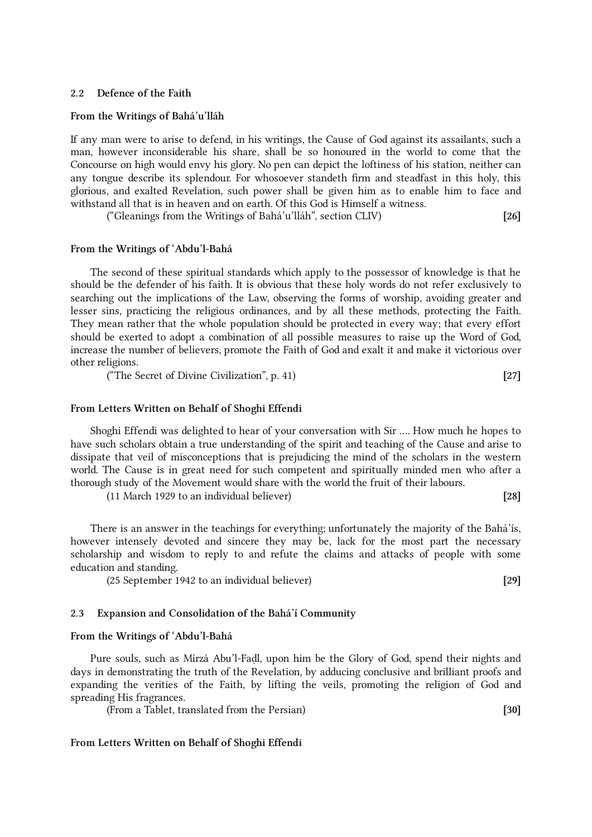#### <span id="page-8-0"></span>2.2 Defence of the Faith

#### From the Writings of Bahá'u'lláh

If any man were to arise to defend, in his writings, the Cause of God against its assailants, such a man, however inconsiderable his share, shall be so honoured in the world to come that the Concourse on high would envy his glory. No pen can depict the loftiness of his station, neither can any tongue describe its splendour. For whosoever standeth firm and steadfast in this holy, this glorious, and exalted Revelation, such power shall be given him as to enable him to face and withstand all that is in heaven and on earth. Of this God is Himself a witness.

("Gleanings from the Writings of Bahá'u'lláh", section CLIV) [26]

#### From the Writings of 'Abdu'l-Bahá

The second of these spiritual standards which apply to the possessor of knowledge is that he should be the defender of his faith. It is obvious that these holy words do not refer exclusively to searching out the implications of the Law, observing the forms of worship, avoiding greater and lesser sins, practicing the religious ordinances, and by all these methods, protecting the Faith. They mean rather that the whole population should be protected in every way; that every effort should be exerted to adopt a combination of all possible measures to raise up the Word of God, increase the number of believers, promote the Faith of God and exalt it and make it victorious over other religions.

("The Secret of Divine Civilization", p. 41) [27]

#### From Letters Written on Behalf of Shoghi Effendi

Shoghi Effendi was delighted to hear of your conversation with Sir …. How much he hopes to have such scholars obtain a true understanding of the spirit and teaching of the Cause and arise to dissipate that veil of misconceptions that is prejudicing the mind of the scholars in the western world. The Cause is in great need for such competent and spiritually minded men who after a thorough study of the Movement would share with the world the fruit of their labours.

(11 March 1929 to an individual believer) [28]

There is an answer in the teachings for everything; unfortunately the majority of the Bahá'ís, however intensely devoted and sincere they may be, lack for the most part the necessary scholarship and wisdom to reply to and refute the claims and attacks of people with some education and standing.

(25 September 1942 to an individual believer) [29]

#### <span id="page-8-1"></span>2.3 Expansion and Consolidation of the Bahá'í Community

#### From the Writings of 'Abdu'l-Bahá

Pure souls, such as Mírzá Abu'l-Faḍl, upon him be the Glory of God, spend their nights and days in demonstrating the truth of the Revelation, by adducing conclusive and brilliant proofs and expanding the verities of the Faith, by lifting the veils, promoting the religion of God and spreading His fragrances.

(From a Tablet, translated from the Persian) [30]

#### From Letters Written on Behalf of Shoghi Effendi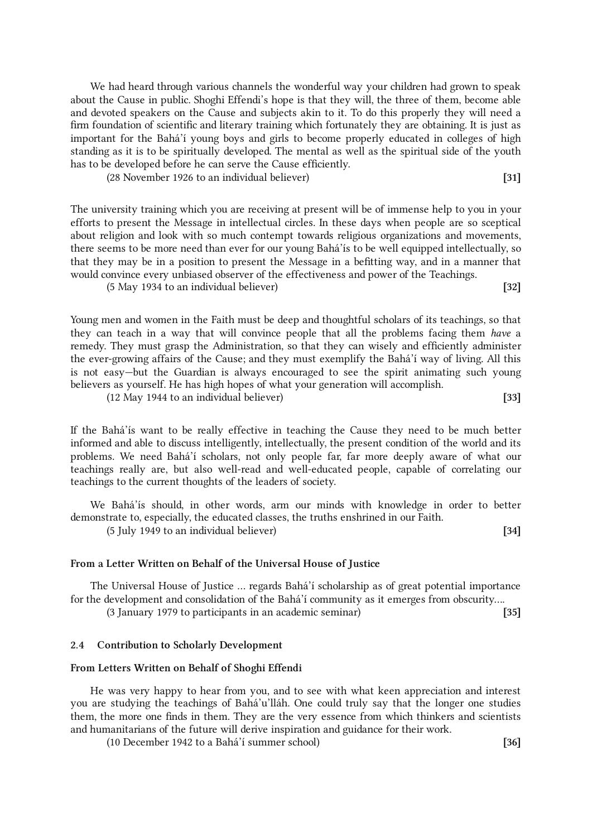We had heard through various channels the wonderful way your children had grown to speak about the Cause in public. Shoghi Effendi's hope is that they will, the three of them, become able and devoted speakers on the Cause and subjects akin to it. To do this properly they will need a firm foundation of scientific and literary training which fortunately they are obtaining. It is just as important for the Bahá'í young boys and girls to become properly educated in colleges of high standing as it is to be spiritually developed. The mental as well as the spiritual side of the youth has to be developed before he can serve the Cause efficiently.

| (28 November 1926 to an individual believer) |  |
|----------------------------------------------|--|
|                                              |  |

The university training which you are receiving at present will be of immense help to you in your efforts to present the Message in intellectual circles. In these days when people are so sceptical about religion and look with so much contempt towards religious organizations and movements, there seems to be more need than ever for our young Bahá'ís to be well equipped intellectually, so that they may be in a position to present the Message in a befitting way, and in a manner that would convince every unbiased observer of the effectiveness and power of the Teachings.

(5 May 1934 to an individual believer) [32]

Young men and women in the Faith must be deep and thoughtful scholars of its teachings, so that they can teach in a way that will convince people that all the problems facing them have a remedy. They must grasp the Administration, so that they can wisely and efficiently administer the ever-growing affairs of the Cause; and they must exemplify the Bahá'í way of living. All this is not easy—but the Guardian is always encouraged to see the spirit animating such young believers as yourself. He has high hopes of what your generation will accomplish.

(12 May 1944 to an individual believer) [33]

If the Bahá'ís want to be really effective in teaching the Cause they need to be much better informed and able to discuss intelligently, intellectually, the present condition of the world and its problems. We need Bahá'í scholars, not only people far, far more deeply aware of what our teachings really are, but also well-read and well-educated people, capable of correlating our teachings to the current thoughts of the leaders of society.

We Bahá'ís should, in other words, arm our minds with knowledge in order to better demonstrate to, especially, the educated classes, the truths enshrined in our Faith.

(5 July 1949 to an individual believer) [34]

#### From a Letter Written on Behalf of the Universal House of Justice

The Universal House of Justice … regards Bahá'í scholarship as of great potential importance for the development and consolidation of the Bahá'í community as it emerges from obscurity….

(3 January 1979 to participants in an academic seminar) [35]

#### <span id="page-9-0"></span>2.4 Contribution to Scholarly Development

## From Letters Written on Behalf of Shoghi Effendi

He was very happy to hear from you, and to see with what keen appreciation and interest you are studying the teachings of Bahá'u'lláh. One could truly say that the longer one studies them, the more one finds in them. They are the very essence from which thinkers and scientists and humanitarians of the future will derive inspiration and guidance for their work.

(10 December 1942 to a Bahá'í summer school) [36]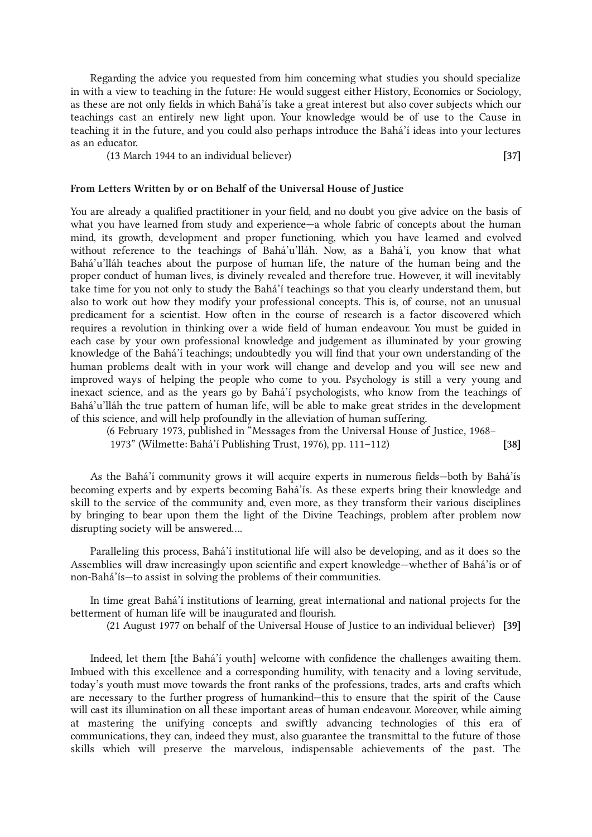Regarding the advice you requested from him concerning what studies you should specialize in with a view to teaching in the future: He would suggest either History, Economics or Sociology, as these are not only fields in which Bahá'ís take a great interest but also cover subjects which our teachings cast an entirely new light upon. Your knowledge would be of use to the Cause in teaching it in the future, and you could also perhaps introduce the Bahá'í ideas into your lectures as an educator.

(13 March 1944 to an individual believer) [37]

#### From Letters Written by or on Behalf of the Universal House of Justice

You are already a qualified practitioner in your field, and no doubt you give advice on the basis of what you have learned from study and experience—a whole fabric of concepts about the human mind, its growth, development and proper functioning, which you have learned and evolved without reference to the teachings of Bahá'u'lláh. Now, as a Bahá'í, you know that what Bahá'u'lláh teaches about the purpose of human life, the nature of the human being and the proper conduct of human lives, is divinely revealed and therefore true. However, it will inevitably take time for you not only to study the Bahá'í teachings so that you clearly understand them, but also to work out how they modify your professional concepts. This is, of course, not an unusual predicament for a scientist. How often in the course of research is a factor discovered which requires a revolution in thinking over a wide field of human endeavour. You must be guided in each case by your own professional knowledge and judgement as illuminated by your growing knowledge of the Bahá'í teachings; undoubtedly you will find that your own understanding of the human problems dealt with in your work will change and develop and you will see new and improved ways of helping the people who come to you. Psychology is still a very young and inexact science, and as the years go by Bahá'í psychologists, who know from the teachings of Bahá'u'lláh the true pattern of human life, will be able to make great strides in the development of this science, and will help profoundly in the alleviation of human suffering.

(6 February 1973, published in "Messages from the Universal House of Justice, 1968– 1973" (Wilmette: Bahá'í Publishing Trust, 1976), pp. 111–112) [38]

As the Bahá'í community grows it will acquire experts in numerous fields—both by Bahá'ís becoming experts and by experts becoming Bahá'ís. As these experts bring their knowledge and skill to the service of the community and, even more, as they transform their various disciplines by bringing to bear upon them the light of the Divine Teachings, problem after problem now disrupting society will be answered….

Paralleling this process, Bahá'í institutional life will also be developing, and as it does so the Assemblies will draw increasingly upon scientific and expert knowledge—whether of Bahá'ís or of non-Bahá'ís—to assist in solving the problems of their communities.

In time great Bahá'í institutions of learning, great international and national projects for the betterment of human life will be inaugurated and flourish.

(21 August 1977 on behalf of the Universal House of Justice to an individual believer) [39]

Indeed, let them [the Bahá'í youth] welcome with confidence the challenges awaiting them. Imbued with this excellence and a corresponding humility, with tenacity and a loving servitude, today's youth must move towards the front ranks of the professions, trades, arts and crafts which are necessary to the further progress of humankind—this to ensure that the spirit of the Cause will cast its illumination on all these important areas of human endeavour. Moreover, while aiming at mastering the unifying concepts and swiftly advancing technologies of this era of communications, they can, indeed they must, also guarantee the transmittal to the future of those skills which will preserve the marvelous, indispensable achievements of the past. The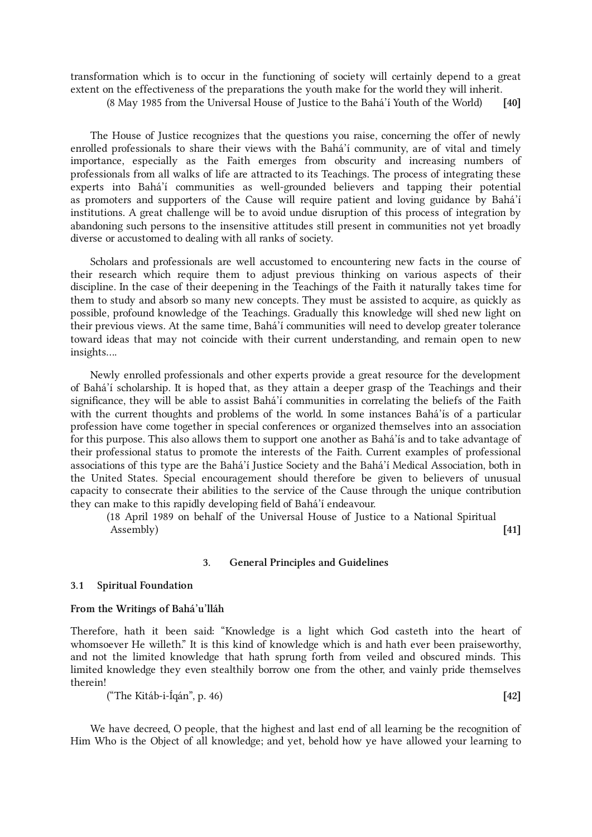transformation which is to occur in the functioning of society will certainly depend to a great extent on the effectiveness of the preparations the youth make for the world they will inherit.

(8 May 1985 from the Universal House of Justice to the Bahá'í Youth of the World) [40]

The House of Justice recognizes that the questions you raise, concerning the offer of newly enrolled professionals to share their views with the Bahá'í community, are of vital and timely importance, especially as the Faith emerges from obscurity and increasing numbers of professionals from all walks of life are attracted to its Teachings. The process of integrating these experts into Bahá'í communities as well-grounded believers and tapping their potential as promoters and supporters of the Cause will require patient and loving guidance by Bahá'í institutions. A great challenge will be to avoid undue disruption of this process of integration by abandoning such persons to the insensitive attitudes still present in communities not yet broadly diverse or accustomed to dealing with all ranks of society.

Scholars and professionals are well accustomed to encountering new facts in the course of their research which require them to adjust previous thinking on various aspects of their discipline. In the case of their deepening in the Teachings of the Faith it naturally takes time for them to study and absorb so many new concepts. They must be assisted to acquire, as quickly as possible, profound knowledge of the Teachings. Gradually this knowledge will shed new light on their previous views. At the same time, Bahá'í communities will need to develop greater tolerance toward ideas that may not coincide with their current understanding, and remain open to new insights….

Newly enrolled professionals and other experts provide a great resource for the development of Bahá'í scholarship. It is hoped that, as they attain a deeper grasp of the Teachings and their significance, they will be able to assist Bahá'í communities in correlating the beliefs of the Faith with the current thoughts and problems of the world. In some instances Bahá'ís of a particular profession have come together in special conferences or organized themselves into an association for this purpose. This also allows them to support one another as Bahá'ís and to take advantage of their professional status to promote the interests of the Faith. Current examples of professional associations of this type are the Bahá'í Justice Society and the Bahá'í Medical Association, both in the United States. Special encouragement should therefore be given to believers of unusual capacity to consecrate their abilities to the service of the Cause through the unique contribution they can make to this rapidly developing field of Bahá'í endeavour.

(18 April 1989 on behalf of the Universal House of Justice to a National Spiritual Assembly) and the contract of the contract of the contract of the contract of the contract of the contract of the contract of the contract of the contract of the contract of the contract of the contract of the contract of

#### <span id="page-11-0"></span>3. General Principles and Guidelines

#### <span id="page-11-1"></span>3.1 Spiritual Foundation

#### From the Writings of Bahá'u'lláh

Therefore, hath it been said: "Knowledge is a light which God casteth into the heart of whomsoever He willeth." It is this kind of knowledge which is and hath ever been praiseworthy, and not the limited knowledge that hath sprung forth from veiled and obscured minds. This limited knowledge they even stealthily borrow one from the other, and vainly pride themselves therein!

("The Kitáb-i-Íqán", p. 46) [42]

We have decreed, O people, that the highest and last end of all learning be the recognition of Him Who is the Object of all knowledge; and yet, behold how ye have allowed your learning to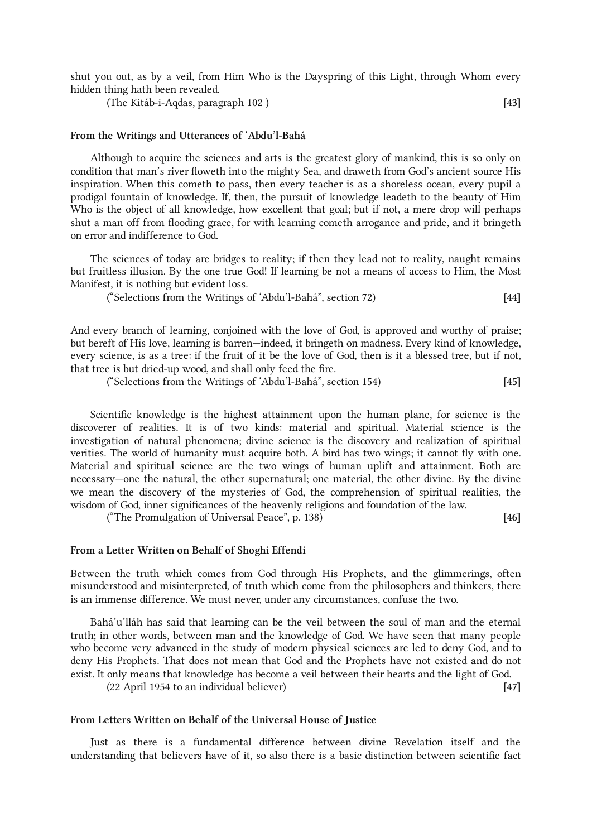shut you out, as by a veil, from Him Who is the Dayspring of this Light, through Whom every hidden thing hath been revealed.

(The Kitáb-i-Aqdas, paragraph 102 ) [43]

# From the Writings and Utterances of 'Abdu'l-Bahá

Although to acquire the sciences and arts is the greatest glory of mankind, this is so only on condition that man's river floweth into the mighty Sea, and draweth from God's ancient source His inspiration. When this cometh to pass, then every teacher is as a shoreless ocean, every pupil a prodigal fountain of knowledge. If, then, the pursuit of knowledge leadeth to the beauty of Him Who is the object of all knowledge, how excellent that goal; but if not, a mere drop will perhaps shut a man off from flooding grace, for with learning cometh arrogance and pride, and it bringeth on error and indifference to God.

The sciences of today are bridges to reality; if then they lead not to reality, naught remains but fruitless illusion. By the one true God! If learning be not a means of access to Him, the Most Manifest, it is nothing but evident loss.

("Selections from the Writings of 'Abdu'l-Bahá", section 72) [44]

And every branch of learning, conjoined with the love of God, is approved and worthy of praise; but bereft of His love, learning is barren—indeed, it bringeth on madness. Every kind of knowledge, every science, is as a tree: if the fruit of it be the love of God, then is it a blessed tree, but if not, that tree is but dried-up wood, and shall only feed the fire.

("Selections from the Writings of 'Abdu'l-Bahá", section 154) [45]

Scientific knowledge is the highest attainment upon the human plane, for science is the discoverer of realities. It is of two kinds: material and spiritual. Material science is the investigation of natural phenomena; divine science is the discovery and realization of spiritual verities. The world of humanity must acquire both. A bird has two wings; it cannot fly with one. Material and spiritual science are the two wings of human uplift and attainment. Both are necessary—one the natural, the other supernatural; one material, the other divine. By the divine we mean the discovery of the mysteries of God, the comprehension of spiritual realities, the wisdom of God, inner significances of the heavenly religions and foundation of the law.

("The Promulgation of Universal Peace", p. 138) [46]

#### From a Letter Written on Behalf of Shoghi Effendi

Between the truth which comes from God through His Prophets, and the glimmerings, often misunderstood and misinterpreted, of truth which come from the philosophers and thinkers, there is an immense difference. We must never, under any circumstances, confuse the two.

Bahá'u'lláh has said that learning can be the veil between the soul of man and the eternal truth; in other words, between man and the knowledge of God. We have seen that many people who become very advanced in the study of modern physical sciences are led to deny God, and to deny His Prophets. That does not mean that God and the Prophets have not existed and do not exist. It only means that knowledge has become a veil between their hearts and the light of God. (22 April 1954 to an individual believer) [47]

#### From Letters Written on Behalf of the Universal House of Justice

Just as there is a fundamental difference between divine Revelation itself and the understanding that believers have of it, so also there is a basic distinction between scientific fact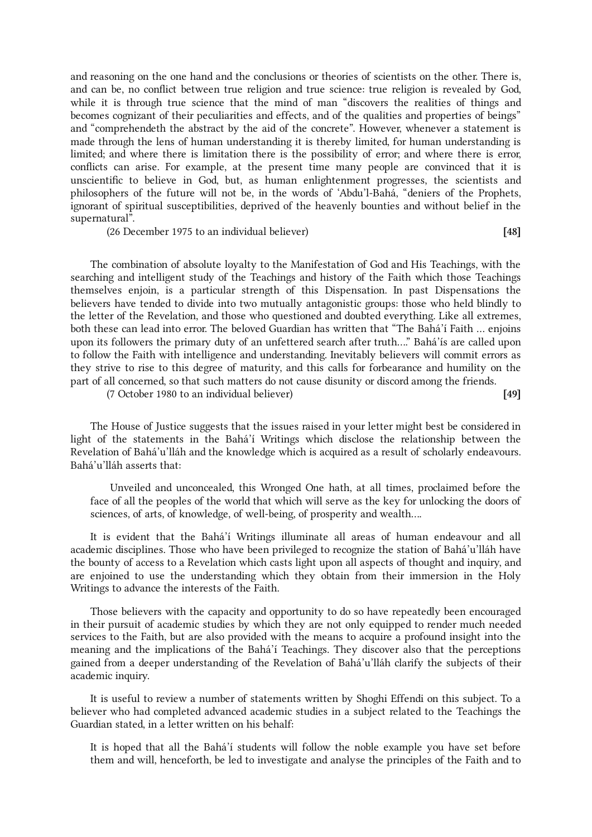and reasoning on the one hand and the conclusions or theories of scientists on the other. There is, and can be, no conflict between true religion and true science: true religion is revealed by God, while it is through true science that the mind of man "discovers the realities of things and becomes cognizant of their peculiarities and effects, and of the qualities and properties of beings" and "comprehendeth the abstract by the aid of the concrete". However, whenever a statement is made through the lens of human understanding it is thereby limited, for human understanding is limited; and where there is limitation there is the possibility of error; and where there is error, conflicts can arise. For example, at the present time many people are convinced that it is unscientific to believe in God, but, as human enlightenment progresses, the scientists and philosophers of the future will not be, in the words of 'Abdu'l-Bahá, "deniers of the Prophets, ignorant of spiritual susceptibilities, deprived of the heavenly bounties and without belief in the supernatural".

(26 December 1975 to an individual believer) [48]

The combination of absolute loyalty to the Manifestation of God and His Teachings, with the searching and intelligent study of the Teachings and history of the Faith which those Teachings themselves enjoin, is a particular strength of this Dispensation. In past Dispensations the believers have tended to divide into two mutually antagonistic groups: those who held blindly to the letter of the Revelation, and those who questioned and doubted everything. Like all extremes, both these can lead into error. The beloved Guardian has written that "The Bahá'í Faith … enjoins upon its followers the primary duty of an unfettered search after truth…." Bahá'ís are called upon to follow the Faith with intelligence and understanding. Inevitably believers will commit errors as they strive to rise to this degree of maturity, and this calls for forbearance and humility on the part of all concerned, so that such matters do not cause disunity or discord among the friends.

(7 October 1980 to an individual believer) [49]

The House of Justice suggests that the issues raised in your letter might best be considered in light of the statements in the Bahá'í Writings which disclose the relationship between the Revelation of Bahá'u'lláh and the knowledge which is acquired as a result of scholarly endeavours. Bahá'u'lláh asserts that:

Unveiled and unconcealed, this Wronged One hath, at all times, proclaimed before the face of all the peoples of the world that which will serve as the key for unlocking the doors of sciences, of arts, of knowledge, of well-being, of prosperity and wealth….

It is evident that the Bahá'í Writings illuminate all areas of human endeavour and all academic disciplines. Those who have been privileged to recognize the station of Bahá'u'lláh have the bounty of access to a Revelation which casts light upon all aspects of thought and inquiry, and are enjoined to use the understanding which they obtain from their immersion in the Holy Writings to advance the interests of the Faith.

Those believers with the capacity and opportunity to do so have repeatedly been encouraged in their pursuit of academic studies by which they are not only equipped to render much needed services to the Faith, but are also provided with the means to acquire a profound insight into the meaning and the implications of the Bahá'í Teachings. They discover also that the perceptions gained from a deeper understanding of the Revelation of Bahá'u'lláh clarify the subjects of their academic inquiry.

It is useful to review a number of statements written by Shoghi Effendi on this subject. To a believer who had completed advanced academic studies in a subject related to the Teachings the Guardian stated, in a letter written on his behalf:

It is hoped that all the Bahá'í students will follow the noble example you have set before them and will, henceforth, be led to investigate and analyse the principles of the Faith and to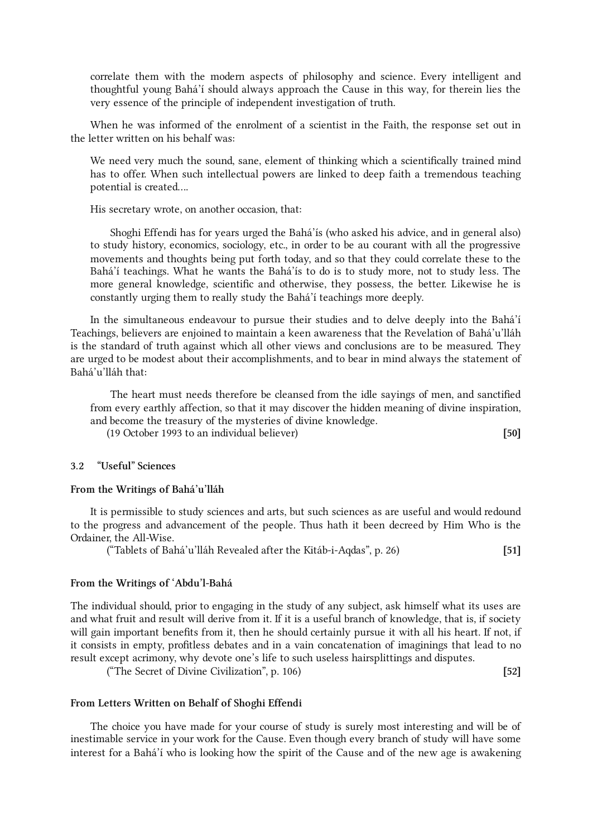correlate them with the modern aspects of philosophy and science. Every intelligent and thoughtful young Bahá'í should always approach the Cause in this way, for therein lies the very essence of the principle of independent investigation of truth.

When he was informed of the enrolment of a scientist in the Faith, the response set out in the letter written on his behalf was:

We need very much the sound, sane, element of thinking which a scientifically trained mind has to offer. When such intellectual powers are linked to deep faith a tremendous teaching potential is created….

His secretary wrote, on another occasion, that:

Shoghi Effendi has for years urged the Bahá'ís (who asked his advice, and in general also) to study history, economics, sociology, etc., in order to be au courant with all the progressive movements and thoughts being put forth today, and so that they could correlate these to the Bahá'í teachings. What he wants the Bahá'ís to do is to study more, not to study less. The more general knowledge, scientific and otherwise, they possess, the better. Likewise he is constantly urging them to really study the Bahá'í teachings more deeply.

In the simultaneous endeavour to pursue their studies and to delve deeply into the Bahá'í Teachings, believers are enjoined to maintain a keen awareness that the Revelation of Bahá'u'lláh is the standard of truth against which all other views and conclusions are to be measured. They are urged to be modest about their accomplishments, and to bear in mind always the statement of Bahá'u'lláh that:

The heart must needs therefore be cleansed from the idle sayings of men, and sanctified from every earthly affection, so that it may discover the hidden meaning of divine inspiration, and become the treasury of the mysteries of divine knowledge.

(19 October 1993 to an individual believer) [50]

### <span id="page-14-0"></span>3.2 "Useful" Sciences

#### From the Writings of Bahá'u'lláh

It is permissible to study sciences and arts, but such sciences as are useful and would redound to the progress and advancement of the people. Thus hath it been decreed by Him Who is the Ordainer, the All-Wise.

("Tablets of Bahá'u'lláh Revealed after the Kitáb-i-Aqdas", p. 26) [51]

#### From the Writings of 'Abdu'l-Bahá

The individual should, prior to engaging in the study of any subject, ask himself what its uses are and what fruit and result will derive from it. If it is a useful branch of knowledge, that is, if society will gain important benefits from it, then he should certainly pursue it with all his heart. If not, if it consists in empty, profitless debates and in a vain concatenation of imaginings that lead to no result except acrimony, why devote one's life to such useless hairsplittings and disputes.

("The Secret of Divine Civilization", p. 106) [52]

#### From Letters Written on Behalf of Shoghi Effendi

The choice you have made for your course of study is surely most interesting and will be of inestimable service in your work for the Cause. Even though every branch of study will have some interest for a Bahá'í who is looking how the spirit of the Cause and of the new age is awakening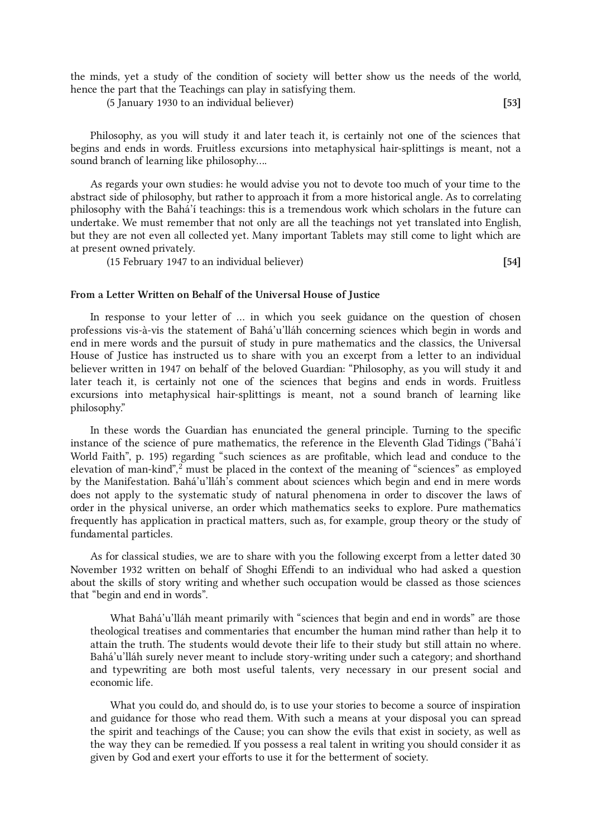the minds, yet a study of the condition of society will better show us the needs of the world, hence the part that the Teachings can play in satisfying them.

(5 January 1930 to an individual believer) [53]

Philosophy, as you will study it and later teach it, is certainly not one of the sciences that begins and ends in words. Fruitless excursions into metaphysical hair-splittings is meant, not a sound branch of learning like philosophy….

As regards your own studies: he would advise you not to devote too much of your time to the abstract side of philosophy, but rather to approach it from a more historical angle. As to correlating philosophy with the Bahá'í teachings: this is a tremendous work which scholars in the future can undertake. We must remember that not only are all the teachings not yet translated into English, but they are not even all collected yet. Many important Tablets may still come to light which are at present owned privately.

(15 February 1947 to an individual believer) [54]

# From a Letter Written on Behalf of the Universal House of Justice

In response to your letter of … in which you seek guidance on the question of chosen professions vis-à-vis the statement of Bahá'u'lláh concerning sciences which begin in words and end in mere words and the pursuit of study in pure mathematics and the classics, the Universal House of Justice has instructed us to share with you an excerpt from a letter to an individual believer written in 1947 on behalf of the beloved Guardian: "Philosophy, as you will study it and later teach it, is certainly not one of the sciences that begins and ends in words. Fruitless excursions into metaphysical hair-splittings is meant, not a sound branch of learning like philosophy."

<span id="page-15-0"></span>In these words the Guardian has enunciated the general principle. Turning to the specific instance of the science of pure mathematics, the reference in the Eleventh Glad Tidings ("Bahá'í World Faith", p. 195) regarding "such sciences as are profitable, which lead and conduce to the elevation of man-kind", [2](#page-23-1) must be placed in the context of the meaning of "sciences" as employed by the Manifestation. Bahá'u'lláh's comment about sciences which begin and end in mere words does not apply to the systematic study of natural phenomena in order to discover the laws of order in the physical universe, an order which mathematics seeks to explore. Pure mathematics frequently has application in practical matters, such as, for example, group theory or the study of fundamental particles.

As for classical studies, we are to share with you the following excerpt from a letter dated 30 November 1932 written on behalf of Shoghi Effendi to an individual who had asked a question about the skills of story writing and whether such occupation would be classed as those sciences that "begin and end in words".

What Bahá'u'lláh meant primarily with "sciences that begin and end in words" are those theological treatises and commentaries that encumber the human mind rather than help it to attain the truth. The students would devote their life to their study but still attain no where. Bahá'u'lláh surely never meant to include story-writing under such a category; and shorthand and typewriting are both most useful talents, very necessary in our present social and economic life.

What you could do, and should do, is to use your stories to become a source of inspiration and guidance for those who read them. With such a means at your disposal you can spread the spirit and teachings of the Cause; you can show the evils that exist in society, as well as the way they can be remedied. If you possess a real talent in writing you should consider it as given by God and exert your efforts to use it for the betterment of society.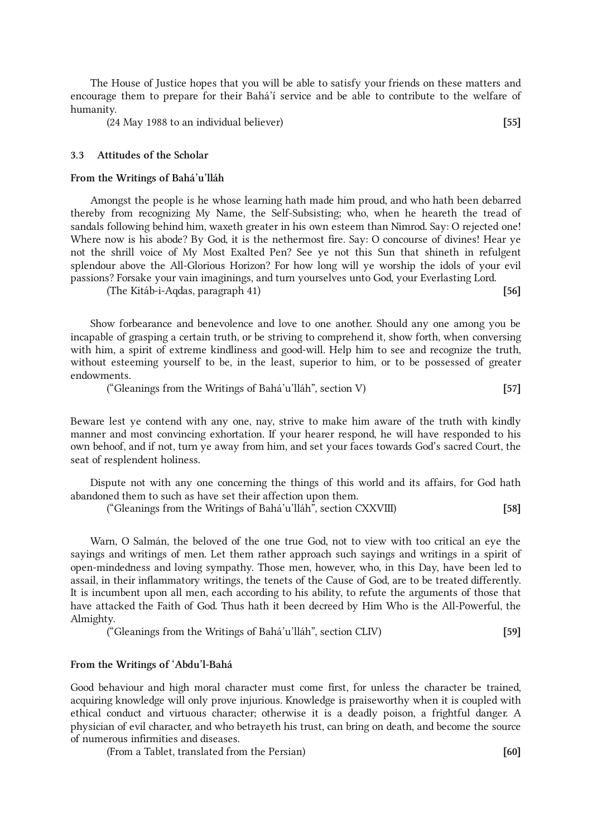The House of Justice hopes that you will be able to satisfy your friends on these matters and encourage them to prepare for their Bahá'í service and be able to contribute to the welfare of humanity.

(24 May 1988 to an individual believer) [55]

# <span id="page-16-0"></span>3.3 Attitudes of the Scholar

#### From the Writings of Bahá'u'lláh

Amongst the people is he whose learning hath made him proud, and who hath been debarred thereby from recognizing My Name, the Self-Subsisting; who, when he heareth the tread of sandals following behind him, waxeth greater in his own esteem than Nimrod. Say: O rejected one! Where now is his abode? By God, it is the nethermost fire. Say: O concourse of divines! Hear ye not the shrill voice of My Most Exalted Pen? See ye not this Sun that shineth in refulgent splendour above the All-Glorious Horizon? For how long will ye worship the idols of your evil passions? Forsake your vain imaginings, and turn yourselves unto God, your Everlasting Lord.

(The Kitáb-i-Aqdas, paragraph 41) [56]

Show forbearance and benevolence and love to one another. Should any one among you be incapable of grasping a certain truth, or be striving to comprehend it, show forth, when conversing with him, a spirit of extreme kindliness and good-will. Help him to see and recognize the truth, without esteeming yourself to be, in the least, superior to him, or to be possessed of greater endowments.

("Gleanings from the Writings of Bahá'u'lláh", section V) [57]

Beware lest ye contend with any one, nay, strive to make him aware of the truth with kindly manner and most convincing exhortation. If your hearer respond, he will have responded to his own behoof, and if not, turn ye away from him, and set your faces towards God's sacred Court, the seat of resplendent holiness.

Dispute not with any one concerning the things of this world and its affairs, for God hath abandoned them to such as have set their affection upon them.

("Gleanings from the Writings of Bahá'u'lláh", section CXXVIII) [58]

Warn, O Salmán, the beloved of the one true God, not to view with too critical an eye the sayings and writings of men. Let them rather approach such sayings and writings in a spirit of open-mindedness and loving sympathy. Those men, however, who, in this Day, have been led to assail, in their inflammatory writings, the tenets of the Cause of God, are to be treated differently. It is incumbent upon all men, each according to his ability, to refute the arguments of those that have attacked the Faith of God. Thus hath it been decreed by Him Who is the All-Powerful, the Almighty.

("Gleanings from the Writings of Bahá'u'lláh", section CLIV) [59]

#### From the Writings of 'Abdu'l-Bahá

Good behaviour and high moral character must come first, for unless the character be trained, acquiring knowledge will only prove injurious. Knowledge is praiseworthy when it is coupled with ethical conduct and virtuous character; otherwise it is a deadly poison, a frightful danger. A physician of evil character, and who betrayeth his trust, can bring on death, and become the source of numerous infirmities and diseases.

(From a Tablet, translated from the Persian) [60]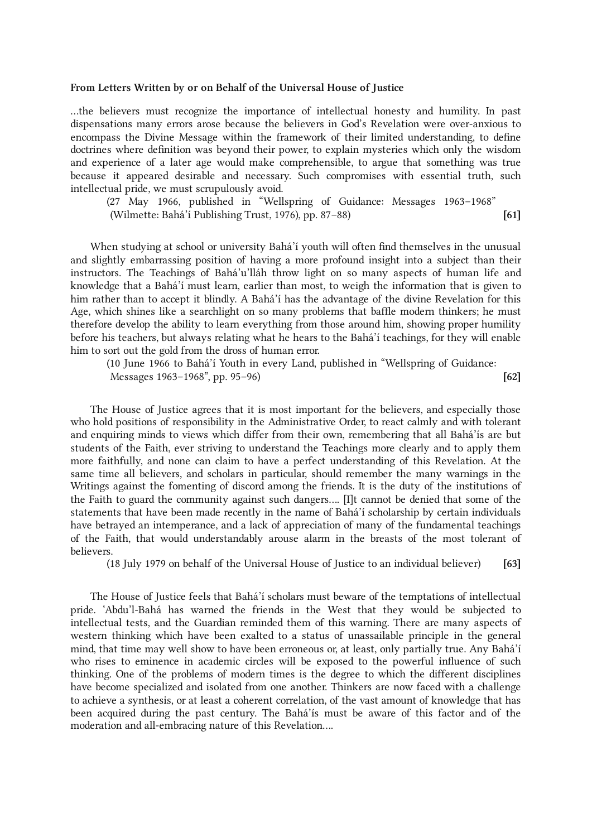#### From Letters Written by or on Behalf of the Universal House of Justice

…the believers must recognize the importance of intellectual honesty and humility. In past dispensations many errors arose because the believers in God's Revelation were over-anxious to encompass the Divine Message within the framework of their limited understanding, to define doctrines where definition was beyond their power, to explain mysteries which only the wisdom and experience of a later age would make comprehensible, to argue that something was true because it appeared desirable and necessary. Such compromises with essential truth, such intellectual pride, we must scrupulously avoid.

(27 May 1966, published in "Wellspring of Guidance: Messages 1963–1968" (Wilmette: Bahá'í Publishing Trust, 1976), pp. 87–88) [61]

When studying at school or university Bahá'í youth will often find themselves in the unusual and slightly embarrassing position of having a more profound insight into a subject than their instructors. The Teachings of Bahá'u'lláh throw light on so many aspects of human life and knowledge that a Bahá'í must learn, earlier than most, to weigh the information that is given to him rather than to accept it blindly. A Bahá'í has the advantage of the divine Revelation for this Age, which shines like a searchlight on so many problems that baffle modern thinkers; he must therefore develop the ability to learn everything from those around him, showing proper humility before his teachers, but always relating what he hears to the Bahá'í teachings, for they will enable him to sort out the gold from the dross of human error.

(10 June 1966 to Bahá'í Youth in every Land, published in "Wellspring of Guidance: Messages 1963–1968", pp. 95–96) [62]

The House of Justice agrees that it is most important for the believers, and especially those who hold positions of responsibility in the Administrative Order, to react calmly and with tolerant and enquiring minds to views which differ from their own, remembering that all Bahá'ís are but students of the Faith, ever striving to understand the Teachings more clearly and to apply them more faithfully, and none can claim to have a perfect understanding of this Revelation. At the same time all believers, and scholars in particular, should remember the many warnings in the Writings against the fomenting of discord among the friends. It is the duty of the institutions of the Faith to guard the community against such dangers…. [I]t cannot be denied that some of the statements that have been made recently in the name of Bahá'í scholarship by certain individuals have betrayed an intemperance, and a lack of appreciation of many of the fundamental teachings of the Faith, that would understandably arouse alarm in the breasts of the most tolerant of believers.

(18 July 1979 on behalf of the Universal House of Justice to an individual believer) [63]

The House of Justice feels that Bahá'í scholars must beware of the temptations of intellectual pride. 'Abdu'l-Bahá has warned the friends in the West that they would be subjected to intellectual tests, and the Guardian reminded them of this warning. There are many aspects of western thinking which have been exalted to a status of unassailable principle in the general mind, that time may well show to have been erroneous or, at least, only partially true. Any Bahá'í who rises to eminence in academic circles will be exposed to the powerful influence of such thinking. One of the problems of modern times is the degree to which the different disciplines have become specialized and isolated from one another. Thinkers are now faced with a challenge to achieve a synthesis, or at least a coherent correlation, of the vast amount of knowledge that has been acquired during the past century. The Bahá'ís must be aware of this factor and of the moderation and all-embracing nature of this Revelation….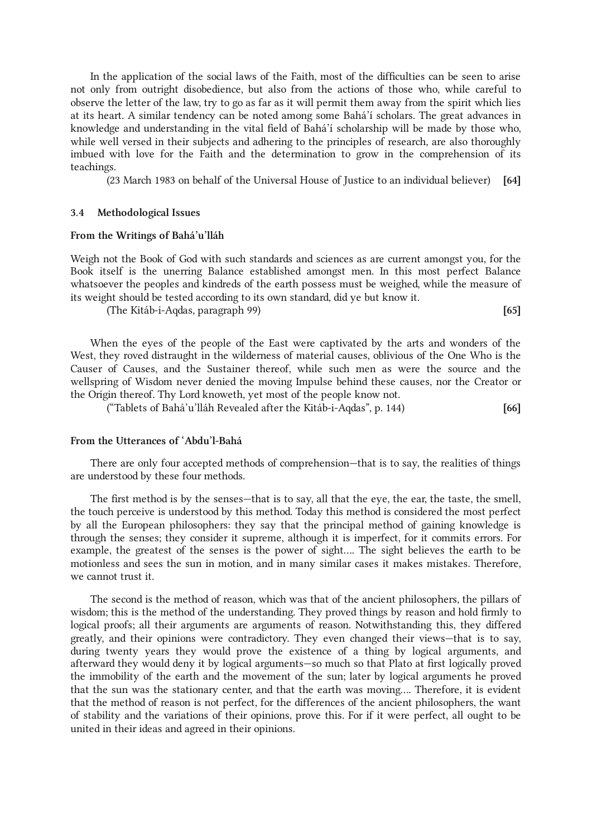In the application of the social laws of the Faith, most of the difficulties can be seen to arise not only from outright disobedience, but also from the actions of those who, while careful to observe the letter of the law, try to go as far as it will permit them away from the spirit which lies at its heart. A similar tendency can be noted among some Bahá'í scholars. The great advances in knowledge and understanding in the vital field of Bahá'í scholarship will be made by those who, while well versed in their subjects and adhering to the principles of research, are also thoroughly imbued with love for the Faith and the determination to grow in the comprehension of its teachings.

(23 March 1983 on behalf of the Universal House of Justice to an individual believer) [64]

#### <span id="page-18-0"></span>3.4 Methodological Issues

#### From the Writings of Bahá'u'lláh

Weigh not the Book of God with such standards and sciences as are current amongst you, for the Book itself is the unerring Balance established amongst men. In this most perfect Balance whatsoever the peoples and kindreds of the earth possess must be weighed, while the measure of its weight should be tested according to its own standard, did ye but know it.

(The Kitáb-i-Aqdas, paragraph 99) [65]

When the eyes of the people of the East were captivated by the arts and wonders of the West, they roved distraught in the wilderness of material causes, oblivious of the One Who is the Causer of Causes, and the Sustainer thereof, while such men as were the source and the wellspring of Wisdom never denied the moving Impulse behind these causes, nor the Creator or the Origin thereof. Thy Lord knoweth, yet most of the people know not.

("Tablets of Bahá'u'lláh Revealed after the Kitáb-i-Aqdas", p. 144) [66]

#### From the Utterances of 'Abdu'l-Bahá

There are only four accepted methods of comprehension—that is to say, the realities of things are understood by these four methods.

The first method is by the senses—that is to say, all that the eye, the ear, the taste, the smell, the touch perceive is understood by this method. Today this method is considered the most perfect by all the European philosophers: they say that the principal method of gaining knowledge is through the senses; they consider it supreme, although it is imperfect, for it commits errors. For example, the greatest of the senses is the power of sight…. The sight believes the earth to be motionless and sees the sun in motion, and in many similar cases it makes mistakes. Therefore, we cannot trust it.

The second is the method of reason, which was that of the ancient philosophers, the pillars of wisdom; this is the method of the understanding. They proved things by reason and hold firmly to logical proofs; all their arguments are arguments of reason. Notwithstanding this, they differed greatly, and their opinions were contradictory. They even changed their views—that is to say, during twenty years they would prove the existence of a thing by logical arguments, and afterward they would deny it by logical arguments—so much so that Plato at first logically proved the immobility of the earth and the movement of the sun; later by logical arguments he proved that the sun was the stationary center, and that the earth was moving…. Therefore, it is evident that the method of reason is not perfect, for the differences of the ancient philosophers, the want of stability and the variations of their opinions, prove this. For if it were perfect, all ought to be united in their ideas and agreed in their opinions.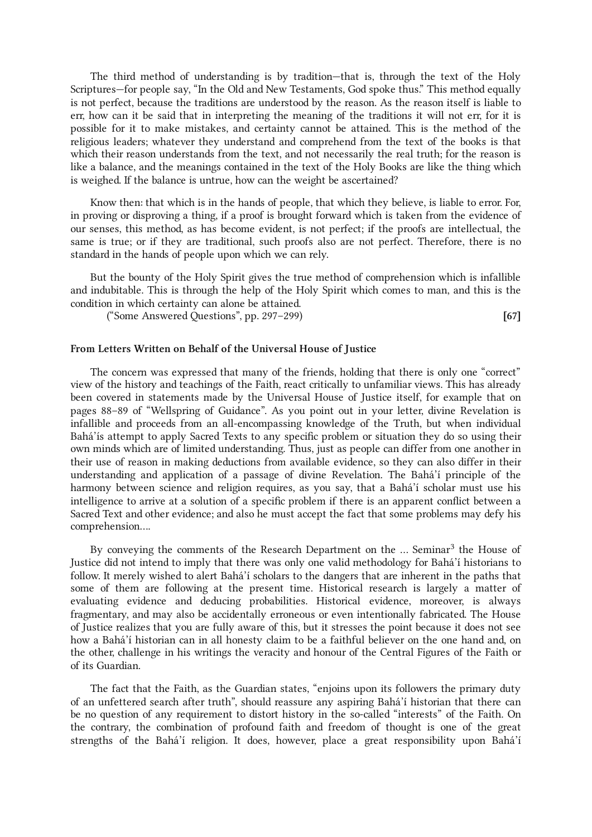The third method of understanding is by tradition—that is, through the text of the Holy Scriptures—for people say, "In the Old and New Testaments, God spoke thus." This method equally is not perfect, because the traditions are understood by the reason. As the reason itself is liable to err, how can it be said that in interpreting the meaning of the traditions it will not err, for it is possible for it to make mistakes, and certainty cannot be attained. This is the method of the religious leaders; whatever they understand and comprehend from the text of the books is that which their reason understands from the text, and not necessarily the real truth; for the reason is like a balance, and the meanings contained in the text of the Holy Books are like the thing which is weighed. If the balance is untrue, how can the weight be ascertained?

Know then: that which is in the hands of people, that which they believe, is liable to error. For, in proving or disproving a thing, if a proof is brought forward which is taken from the evidence of our senses, this method, as has become evident, is not perfect; if the proofs are intellectual, the same is true; or if they are traditional, such proofs also are not perfect. Therefore, there is no standard in the hands of people upon which we can rely.

But the bounty of the Holy Spirit gives the true method of comprehension which is infallible and indubitable. This is through the help of the Holy Spirit which comes to man, and this is the condition in which certainty can alone be attained.

 $("Some Answered Questions", pp. 297–299)$  [67]

#### From Letters Written on Behalf of the Universal House of Justice

The concern was expressed that many of the friends, holding that there is only one "correct" view of the history and teachings of the Faith, react critically to unfamiliar views. This has already been covered in statements made by the Universal House of Justice itself, for example that on pages 88–89 of "Wellspring of Guidance". As you point out in your letter, divine Revelation is infallible and proceeds from an all-encompassing knowledge of the Truth, but when individual Bahá'ís attempt to apply Sacred Texts to any specific problem or situation they do so using their own minds which are of limited understanding. Thus, just as people can differ from one another in their use of reason in making deductions from available evidence, so they can also differ in their understanding and application of a passage of divine Revelation. The Bahá'í principle of the harmony between science and religion requires, as you say, that a Bahá'í scholar must use his intelligence to arrive at a solution of a specific problem if there is an apparent conflict between a Sacred Text and other evidence; and also he must accept the fact that some problems may defy his comprehension….

<span id="page-19-0"></span>By conveying the comments of the Research Department on the ... Seminar<sup>[3](#page-23-2)</sup> the House of Justice did not intend to imply that there was only one valid methodology for Bahá'í historians to follow. It merely wished to alert Bahá'í scholars to the dangers that are inherent in the paths that some of them are following at the present time. Historical research is largely a matter of evaluating evidence and deducing probabilities. Historical evidence, moreover, is always fragmentary, and may also be accidentally erroneous or even intentionally fabricated. The House of Justice realizes that you are fully aware of this, but it stresses the point because it does not see how a Bahá'í historian can in all honesty claim to be a faithful believer on the one hand and, on the other, challenge in his writings the veracity and honour of the Central Figures of the Faith or of its Guardian.

The fact that the Faith, as the Guardian states, "enjoins upon its followers the primary duty of an unfettered search after truth", should reassure any aspiring Bahá'í historian that there can be no question of any requirement to distort history in the so-called "interests" of the Faith. On the contrary, the combination of profound faith and freedom of thought is one of the great strengths of the Bahá'í religion. It does, however, place a great responsibility upon Bahá'í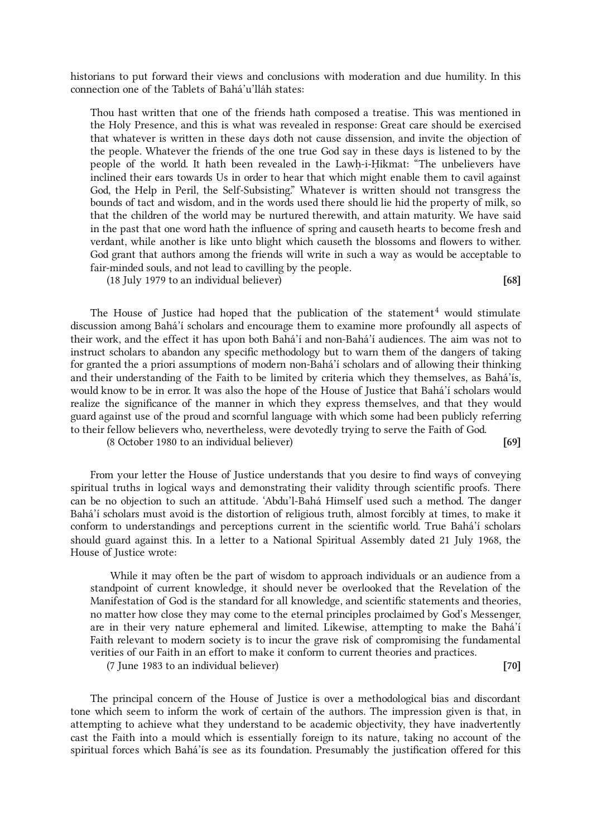historians to put forward their views and conclusions with moderation and due humility. In this connection one of the Tablets of Bahá'u'lláh states:

Thou hast written that one of the friends hath composed a treatise. This was mentioned in the Holy Presence, and this is what was revealed in response: Great care should be exercised that whatever is written in these days doth not cause dissension, and invite the objection of the people. Whatever the friends of the one true God say in these days is listened to by the people of the world. It hath been revealed in the Lawḥ-i-Ḥikmat: "The unbelievers have inclined their ears towards Us in order to hear that which might enable them to cavil against God, the Help in Peril, the Self-Subsisting." Whatever is written should not transgress the bounds of tact and wisdom, and in the words used there should lie hid the property of milk, so that the children of the world may be nurtured therewith, and attain maturity. We have said in the past that one word hath the influence of spring and causeth hearts to become fresh and verdant, while another is like unto blight which causeth the blossoms and flowers to wither. God grant that authors among the friends will write in such a way as would be acceptable to fair-minded souls, and not lead to cavilling by the people.

(18 July 1979 to an individual believer) [68]

<span id="page-20-0"></span>The House of Justice had hoped that the publication of the statement<sup>[4](#page-23-3)</sup> would stimulate discussion among Bahá'í scholars and encourage them to examine more profoundly all aspects of their work, and the effect it has upon both Bahá'í and non-Bahá'í audiences. The aim was not to instruct scholars to abandon any specific methodology but to warn them of the dangers of taking for granted the a priori assumptions of modern non-Bahá'í scholars and of allowing their thinking and their understanding of the Faith to be limited by criteria which they themselves, as Bahá'ís, would know to be in error. It was also the hope of the House of Justice that Bahá'í scholars would realize the significance of the manner in which they express themselves, and that they would guard against use of the proud and scornful language with which some had been publicly referring to their fellow believers who, nevertheless, were devotedly trying to serve the Faith of God.

(8 October 1980 to an individual believer) [69]

From your letter the House of Justice understands that you desire to find ways of conveying spiritual truths in logical ways and demonstrating their validity through scientific proofs. There can be no objection to such an attitude. 'Abdu'l-Bahá Himself used such a method. The danger Bahá'í scholars must avoid is the distortion of religious truth, almost forcibly at times, to make it conform to understandings and perceptions current in the scientific world. True Bahá'í scholars should guard against this. In a letter to a National Spiritual Assembly dated 21 July 1968, the House of Justice wrote:

While it may often be the part of wisdom to approach individuals or an audience from a standpoint of current knowledge, it should never be overlooked that the Revelation of the Manifestation of God is the standard for all knowledge, and scientific statements and theories, no matter how close they may come to the eternal principles proclaimed by God's Messenger, are in their very nature ephemeral and limited. Likewise, attempting to make the Bahá'í Faith relevant to modern society is to incur the grave risk of compromising the fundamental verities of our Faith in an effort to make it conform to current theories and practices.

(7 June 1983 to an individual believer) [70]

The principal concern of the House of Justice is over a methodological bias and discordant tone which seem to inform the work of certain of the authors. The impression given is that, in attempting to achieve what they understand to be academic objectivity, they have inadvertently cast the Faith into a mould which is essentially foreign to its nature, taking no account of the spiritual forces which Bahá'ís see as its foundation. Presumably the justification offered for this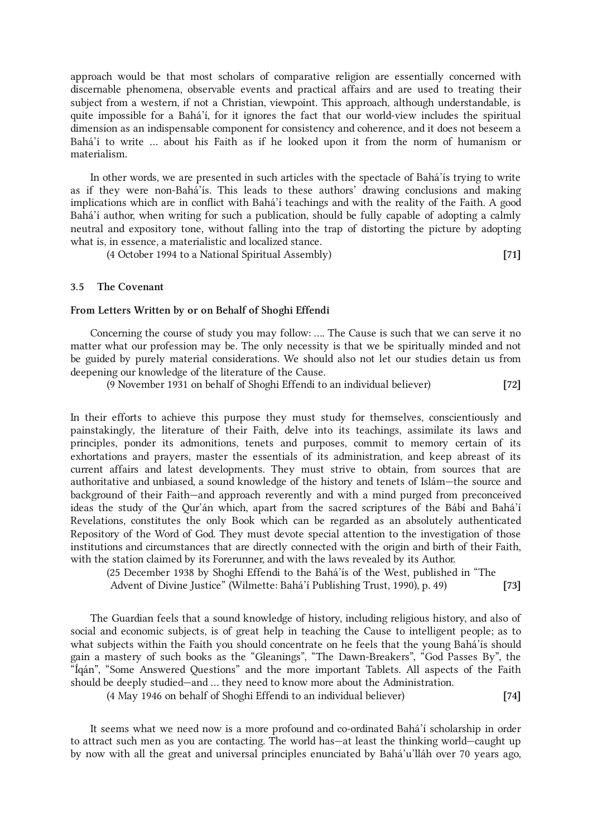approach would be that most scholars of comparative religion are essentially concerned with discernable phenomena, observable events and practical affairs and are used to treating their subject from a western, if not a Christian, viewpoint. This approach, although understandable, is quite impossible for a Bahá'í, for it ignores the fact that our world-view includes the spiritual dimension as an indispensable component for consistency and coherence, and it does not beseem a Bahá'í to write … about his Faith as if he looked upon it from the norm of humanism or materialism.

In other words, we are presented in such articles with the spectacle of Bahá'ís trying to write as if they were non-Bahá'ís. This leads to these authors' drawing conclusions and making implications which are in conflict with Bahá'í teachings and with the reality of the Faith. A good Bahá'í author, when writing for such a publication, should be fully capable of adopting a calmly neutral and expository tone, without falling into the trap of distorting the picture by adopting what is, in essence, a materialistic and localized stance.

(4 October 1994 to a National Spiritual Assembly) [71]

#### <span id="page-21-0"></span>3.5 The Covenant

#### From Letters Written by or on Behalf of Shoghi Effendi

Concerning the course of study you may follow: …. The Cause is such that we can serve it no matter what our profession may be. The only necessity is that we be spiritually minded and not be guided by purely material considerations. We should also not let our studies detain us from deepening our knowledge of the literature of the Cause.

(9 November 1931 on behalf of Shoghi Effendi to an individual believer) [72]

In their efforts to achieve this purpose they must study for themselves, conscientiously and painstakingly, the literature of their Faith, delve into its teachings, assimilate its laws and principles, ponder its admonitions, tenets and purposes, commit to memory certain of its exhortations and prayers, master the essentials of its administration, and keep abreast of its current affairs and latest developments. They must strive to obtain, from sources that are authoritative and unbiased, a sound knowledge of the history and tenets of Islám—the source and background of their Faith—and approach reverently and with a mind purged from preconceived ideas the study of the Qur'án which, apart from the sacred scriptures of the Bábí and Bahá'í Revelations, constitutes the only Book which can be regarded as an absolutely authenticated Repository of the Word of God. They must devote special attention to the investigation of those institutions and circumstances that are directly connected with the origin and birth of their Faith, with the station claimed by its Forerunner, and with the laws revealed by its Author.

(25 December 1938 by Shoghi Effendi to the Bahá'ís of the West, published in "The Advent of Divine Justice" (Wilmette: Bahá'í Publishing Trust, 1990), p. 49) [73]

The Guardian feels that a sound knowledge of history, including religious history, and also of social and economic subjects, is of great help in teaching the Cause to intelligent people; as to what subjects within the Faith you should concentrate on he feels that the young Bahá'ís should gain a mastery of such books as the "Gleanings", "The Dawn-Breakers", "God Passes By", the "Íqán", "Some Answered Questions" and the more important Tablets. All aspects of the Faith should be deeply studied—and … they need to know more about the Administration.

(4 May 1946 on behalf of Shoghi Effendi to an individual believer) [74]

It seems what we need now is a more profound and co-ordinated Bahá'í scholarship in order to attract such men as you are contacting. The world has—at least the thinking world—caught up by now with all the great and universal principles enunciated by Bahá'u'lláh over 70 years ago,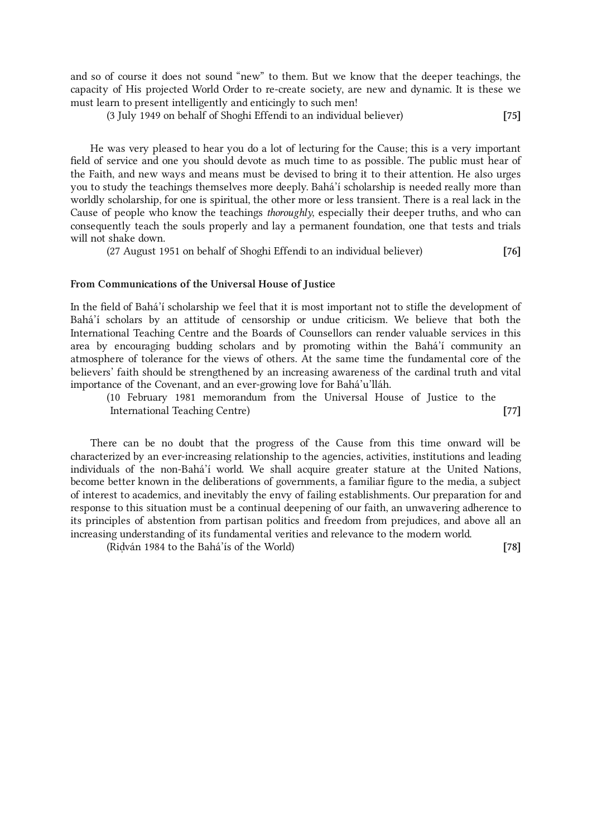and so of course it does not sound "new" to them. But we know that the deeper teachings, the capacity of His projected World Order to re-create society, are new and dynamic. It is these we must learn to present intelligently and enticingly to such men!

(3 July 1949 on behalf of Shoghi Effendi to an individual believer) [75]

He was very pleased to hear you do a lot of lecturing for the Cause; this is a very important field of service and one you should devote as much time to as possible. The public must hear of the Faith, and new ways and means must be devised to bring it to their attention. He also urges you to study the teachings themselves more deeply. Bahá'í scholarship is needed really more than worldly scholarship, for one is spiritual, the other more or less transient. There is a real lack in the Cause of people who know the teachings thoroughly, especially their deeper truths, and who can consequently teach the souls properly and lay a permanent foundation, one that tests and trials will not shake down.

(27 August 1951 on behalf of Shoghi Effendi to an individual believer) [76]

#### From Communications of the Universal House of Justice

In the field of Bahá'í scholarship we feel that it is most important not to stifle the development of Bahá'í scholars by an attitude of censorship or undue criticism. We believe that both the International Teaching Centre and the Boards of Counsellors can render valuable services in this area by encouraging budding scholars and by promoting within the Bahá'í community an atmosphere of tolerance for the views of others. At the same time the fundamental core of the believers' faith should be strengthened by an increasing awareness of the cardinal truth and vital importance of the Covenant, and an ever-growing love for Bahá'u'lláh.

(10 February 1981 memorandum from the Universal House of Justice to the International Teaching Centre) [77]

There can be no doubt that the progress of the Cause from this time onward will be characterized by an ever-increasing relationship to the agencies, activities, institutions and leading individuals of the non-Bahá'í world. We shall acquire greater stature at the United Nations, become better known in the deliberations of governments, a familiar figure to the media, a subject of interest to academics, and inevitably the envy of failing establishments. Our preparation for and response to this situation must be a continual deepening of our faith, an unwavering adherence to its principles of abstention from partisan politics and freedom from prejudices, and above all an increasing understanding of its fundamental verities and relevance to the modern world.

(Riḍván 1984 to the Bahá'ís of the World) [78]